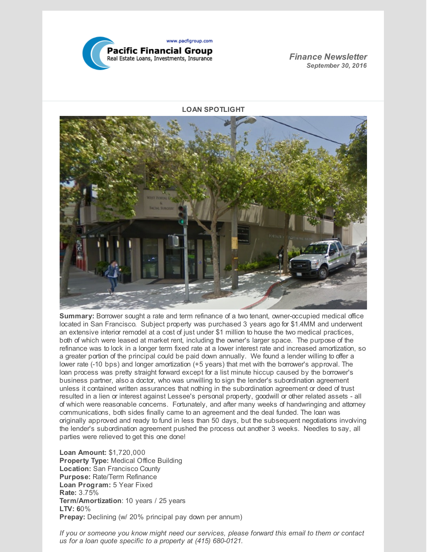

*Finance Newsletter September 30, 2016*

**LOAN SPOTLIGHT**



**Summary:** Borrower sought a rate and term refinance of a two tenant, owner-occupied medical office located in San Francisco. Subject property was purchased 3 years ago for \$1.4MM and underwent an extensive interior remodel at a cost of just under \$1 million to house the two medical practices, both of which were leased at market rent, including the owner's larger space. The purpose of the refinance was to lock in a longer term fixed rate at a lower interest rate and increased amortization, so a greater portion of the principal could be paid down annually. We found a lender willing to offer a lower rate (-10 bps) and longer amortization (+5 years) that met with the borrower's approval. The loan process was pretty straight forward except for a list minute hiccup caused by the borrower's business partner, also a doctor, who was unwilling to sign the lender's subordination agreement unless it contained written assurances that nothing in the subordination agreement or deed of trust resulted in a lien or interest against Lessee's personal property, goodwill or other related assets - all of which were reasonable concerns. Fortunately, and after many weeks of handwringing and attorney communications, both sides finally came to an agreement and the deal funded. The loan was originally approved and ready to fund in less than 50 days, but the subsequent negotiations involving the lender's subordination agreement pushed the process out another 3 weeks. Needles to say, all parties were relieved to get this one done!

**Loan Amount:** \$1,720,000 **Property Type:** Medical Office Building **Location:** San Francisco County **Purpose:** Rate/Term Refinance **Loan Program:** 5 Year Fixed **Rate:** 3.75% **Term/Amortization**: 10 years / 25 years **LTV: 6**0% **Prepay:** Declining (w/ 20% principal pay down per annum)

*If you or someone you know might need our services, please forward this email to them or contact us for a loan quote specific to a property at (415) 680-0121.*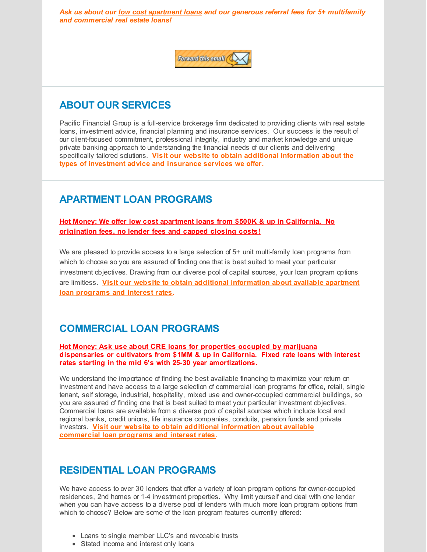*Ask us about our low cost apartment loans and our generous referral fees for 5+ multifamily and commercial real estate loans!*



# **ABOUT OUR SERVICES**

Pacific Financial Group is a full-service brokerage firm dedicated to providing clients with real estate loans, investment advice, financial planning and insurance services. Our success is the result of our client-focused commitment, professional integrity, industry and market knowledge and unique private banking approach to understanding the financial needs of our clients and delivering specifically tailored solutions. **Visit our website to obtain additional information about the types of [investment](http://www.pacfigroup.com/investments.html) advice and [insurance](http://www.pacfigroup.com/Insurance-Services.html) services we offer.**

# **APARTMENT LOAN PROGRAMS**

**Hot Money: We offer low cost apartment loans from \$500K & up in California. No origination fees, no lender fees and capped closing costs!**

We are pleased to provide access to a large selection of 5+ unit multi-family loan programs from which to choose so you are assured of finding one that is best suited to meet your particular investment objectives. Drawing from our diverse pool of capital sources, your loan program options are limitless. **Visit our website to obtain additional [information](http://www.pacfigroup.com/Apartment-Loans.html) about available apartment loan programs and interest rates.**

# **COMMERCIAL LOAN PROGRAMS**

#### **Hot Money: Ask use about CRE loans for properties occupied by marijuana dispensaries or cultivators from \$1MM & up in California. Fixed rate loans with interest rates starting in the mid 6's with 25-30 year amortizations.**

We understand the importance of finding the best available financing to maximize your return on investment and have access to a large selection of commercial loan programs for office, retail, single tenant, self storage, industrial, hospitality, mixed use and owner-occupied commercial buildings, so you are assured of finding one that is best suited to meet your particular investment objectives. Commercial loans are available from a diverse pool of capital sources which include local and regional banks, credit unions, life insurance companies, conduits, pension funds and private investors. **Visit our website to obtain additional information about available [commercial](http://www.pacfigroup.com/Construction-Loans.html) loan programs and interest rates.**

### **RESIDENTIAL LOAN PROGRAMS**

We have access to over 30 lenders that offer a variety of loan program options for owner-occupied residences, 2nd homes or 1-4 investment properties. Why limit yourself and deal with one lender when you can have access to a diverse pool of lenders with much more loan program options from which to choose? Below are some of the loan program features currently offered:

- Loans to single member LLC's and revocable trusts
- Stated income and interest only loans